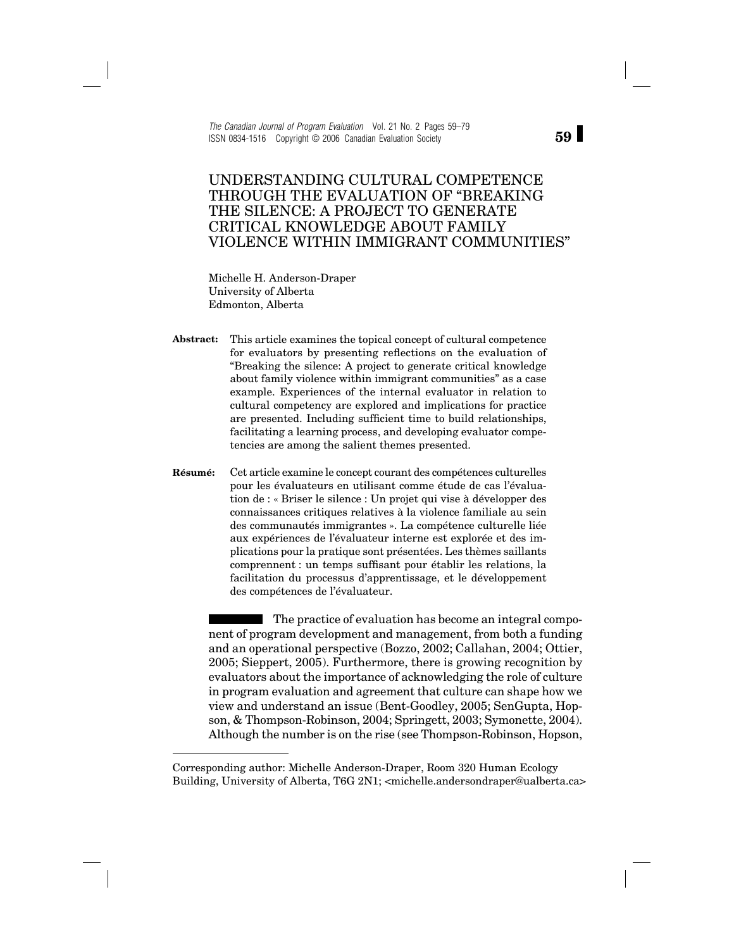*The Canadian Journal of Program Evaluation* Vol. 21 No. 2 Pages 59–79 ISSN 0834-1516 Copyright © 2006 Canadian Evaluation Society

# UNDERSTANDING CULTURAL COMPETENCE THROUGH THE EVALUATION OF "BREAKING THE SILENCE: A PROJECT TO GENERATE CRITICAL KNOWLEDGE ABOUT FAMILY VIOLENCE WITHIN IMMIGRANT COMMUNITIES"

Michelle H. Anderson-Draper University of Alberta Edmonton, Alberta

**Abstract:** This article examines the topical concept of cultural competence for evaluators by presenting reflections on the evaluation of "Breaking the silence: A project to generate critical knowledge about family violence within immigrant communities" as a case example. Experiences of the internal evaluator in relation to cultural competency are explored and implications for practice are presented. Including sufficient time to build relationships, facilitating a learning process, and developing evaluator competencies are among the salient themes presented.

**Résumé:** Cet article examine le concept courant des compétences culturelles pour les évaluateurs en utilisant comme étude de cas l'évaluation de : « Briser le silence : Un projet qui vise à développer des connaissances critiques relatives à la violence familiale au sein des communautés immigrantes ». La compétence culturelle liée aux expériences de l'évaluateur interne est explorée et des implications pour la pratique sont présentées. Les thèmes saillants comprennent : un temps suffisant pour établir les relations, la facilitation du processus d'apprentissage, et le développement des compétences de l'évaluateur.

The practice of evaluation has become an integral component of program development and management, from both a funding and an operational perspective (Bozzo, 2002; Callahan, 2004; Ottier, 2005; Sieppert, 2005). Furthermore, there is growing recognition by evaluators about the importance of acknowledging the role of culture in program evaluation and agreement that culture can shape how we view and understand an issue (Bent-Goodley, 2005; SenGupta, Hopson, & Thompson-Robinson, 2004; Springett, 2003; Symonette, 2004). Although the number is on the rise (see Thompson-Robinson, Hopson,

Corresponding author: Michelle Anderson-Draper, Room 320 Human Ecology Building, University of Alberta, T6G 2N1; <michelle.andersondraper@ualberta.ca>

**59**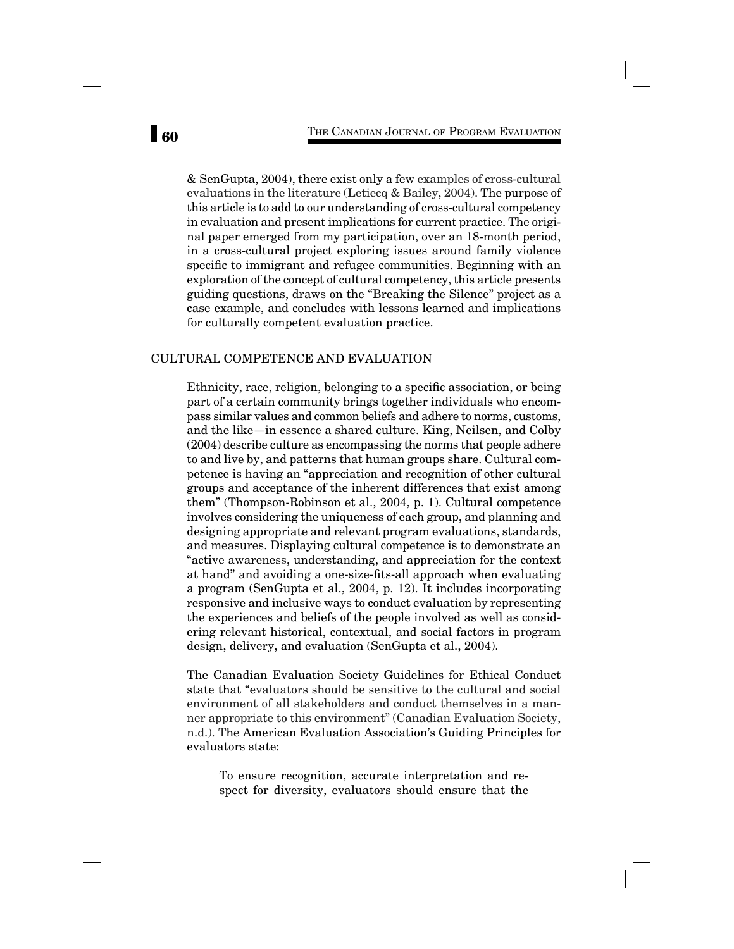& SenGupta, 2004), there exist only a few examples of cross-cultural evaluations in the literature (Letiecq & Bailey, 2004). The purpose of this article is to add to our understanding of cross-cultural competency in evaluation and present implications for current practice. The original paper emerged from my participation, over an 18-month period, in a cross-cultural project exploring issues around family violence specific to immigrant and refugee communities. Beginning with an exploration of the concept of cultural competency, this article presents guiding questions, draws on the "Breaking the Silence" project as a case example, and concludes with lessons learned and implications for culturally competent evaluation practice.

# CULTURAL COMPETENCE AND EVALUATION

Ethnicity, race, religion, belonging to a specific association, or being part of a certain community brings together individuals who encompass similar values and common beliefs and adhere to norms, customs, and the like—in essence a shared culture. King, Neilsen, and Colby (2004) describe culture as encompassing the norms that people adhere to and live by, and patterns that human groups share. Cultural competence is having an "appreciation and recognition of other cultural groups and acceptance of the inherent differences that exist among them" (Thompson-Robinson et al., 2004, p. 1). Cultural competence involves considering the uniqueness of each group, and planning and designing appropriate and relevant program evaluations, standards, and measures. Displaying cultural competence is to demonstrate an "active awareness, understanding, and appreciation for the context at hand" and avoiding a one-size-fits-all approach when evaluating a program (SenGupta et al., 2004, p. 12). It includes incorporating responsive and inclusive ways to conduct evaluation by representing the experiences and beliefs of the people involved as well as considering relevant historical, contextual, and social factors in program design, delivery, and evaluation (SenGupta et al., 2004).

The Canadian Evaluation Society Guidelines for Ethical Conduct state that "evaluators should be sensitive to the cultural and social environment of all stakeholders and conduct themselves in a manner appropriate to this environment" (Canadian Evaluation Society, n.d.). The American Evaluation Association's Guiding Principles for evaluators state:

To ensure recognition, accurate interpretation and respect for diversity, evaluators should ensure that the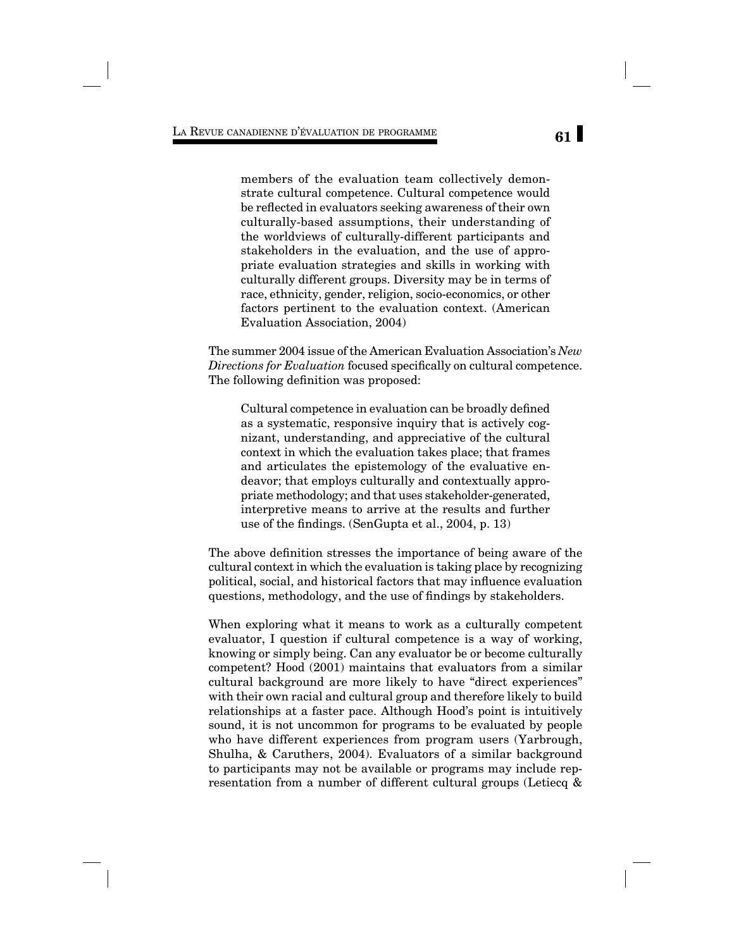members of the evaluation team collectively demonstrate cultural competence. Cultural competence would be reflected in evaluators seeking awareness of their own culturally-based assumptions, their understanding of the worldviews of culturally-different participants and stakeholders in the evaluation, and the use of appropriate evaluation strategies and skills in working with culturally different groups. Diversity may be in terms of race, ethnicity, gender, religion, socio-economics, or other factors pertinent to the evaluation context. (American Evaluation Association, 2004)

The summer 2004 issue of the American Evaluation Association's *New Directions for Evaluation* focused specifically on cultural competence. The following definition was proposed:

Cultural competence in evaluation can be broadly defined as a systematic, responsive inquiry that is actively cognizant, understanding, and appreciative of the cultural context in which the evaluation takes place; that frames and articulates the epistemology of the evaluative endeavor; that employs culturally and contextually appropriate methodology; and that uses stakeholder-generated, interpretive means to arrive at the results and further use of the findings. (SenGupta et al., 2004, p.  $13$ )

The above definition stresses the importance of being aware of the cultural context in which the evaluation is taking place by recognizing political, social, and historical factors that may influence evaluation questions, methodology, and the use of findings by stakeholders.

When exploring what it means to work as a culturally competent evaluator, I question if cultural competence is a way of working, knowing or simply being. Can any evaluator be or become culturally competent? Hood (2001) maintains that evaluators from a similar cultural background are more likely to have "direct experiences" with their own racial and cultural group and therefore likely to build relationships at a faster pace. Although Hood's point is intuitively sound, it is not uncommon for programs to be evaluated by people who have different experiences from program users (Yarbrough, Shulha, & Caruthers, 2004). Evaluators of a similar background to participants may not be available or programs may include representation from a number of different cultural groups (Letiecq &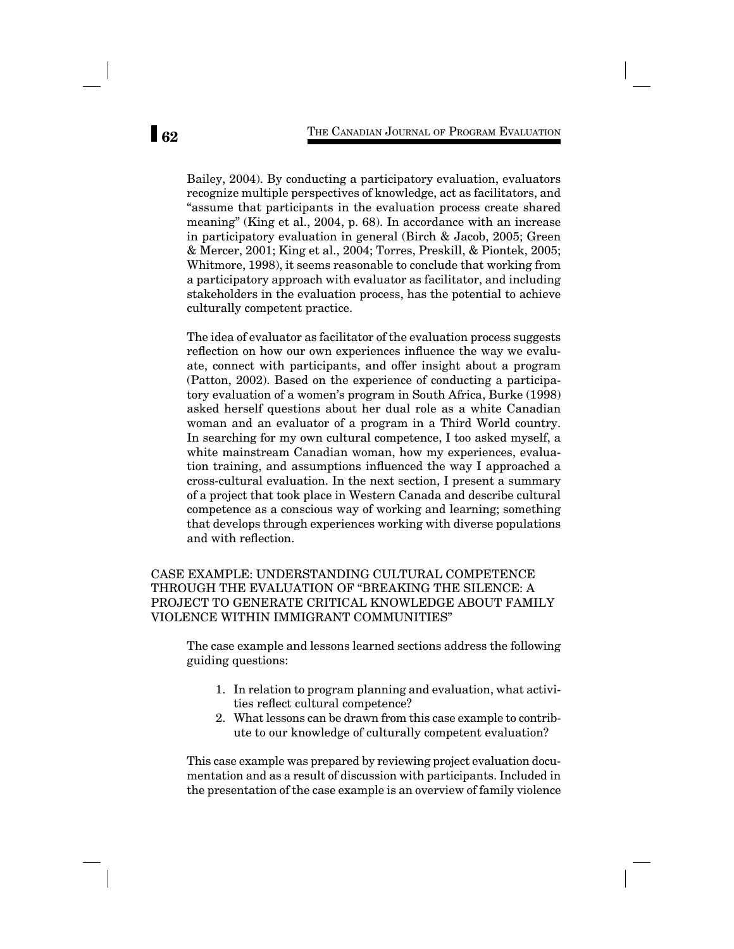Bailey, 2004). By conducting a participatory evaluation, evaluators recognize multiple perspectives of knowledge, act as facilitators, and "assume that participants in the evaluation process create shared meaning" (King et al., 2004, p. 68). In accordance with an increase in participatory evaluation in general (Birch & Jacob, 2005; Green & Mercer, 2001; King et al., 2004; Torres, Preskill, & Piontek, 2005; Whitmore, 1998), it seems reasonable to conclude that working from a participatory approach with evaluator as facilitator, and including stakeholders in the evaluation process, has the potential to achieve culturally competent practice.

The idea of evaluator as facilitator of the evaluation process suggests reflection on how our own experiences influence the way we evaluate, connect with participants, and offer insight about a program (Patton, 2002). Based on the experience of conducting a participatory evaluation of a women's program in South Africa, Burke (1998) asked herself questions about her dual role as a white Canadian woman and an evaluator of a program in a Third World country. In searching for my own cultural competence, I too asked myself, a white mainstream Canadian woman, how my experiences, evaluation training, and assumptions influenced the way I approached a cross-cultural evaluation. In the next section, I present a summary of a project that took place in Western Canada and describe cultural competence as a conscious way of working and learning; something that develops through experiences working with diverse populations and with reflection.

# CASE EXAMPLE: UNDERSTANDING CULTURAL COMPETENCE THROUGH THE EVALUATION OF "BREAKING THE SILENCE: A PROJECT TO GENERATE CRITICAL KNOWLEDGE ABOUT FAMILY VIOLENCE WITHIN IMMIGRANT COMMUNITIES"

The case example and lessons learned sections address the following guiding questions:

- 1. In relation to program planning and evaluation, what activities reflect cultural competence?
- 2. What lessons can be drawn from this case example to contribute to our knowledge of culturally competent evaluation?

This case example was prepared by reviewing project evaluation documentation and as a result of discussion with participants. Included in the presentation of the case example is an overview of family violence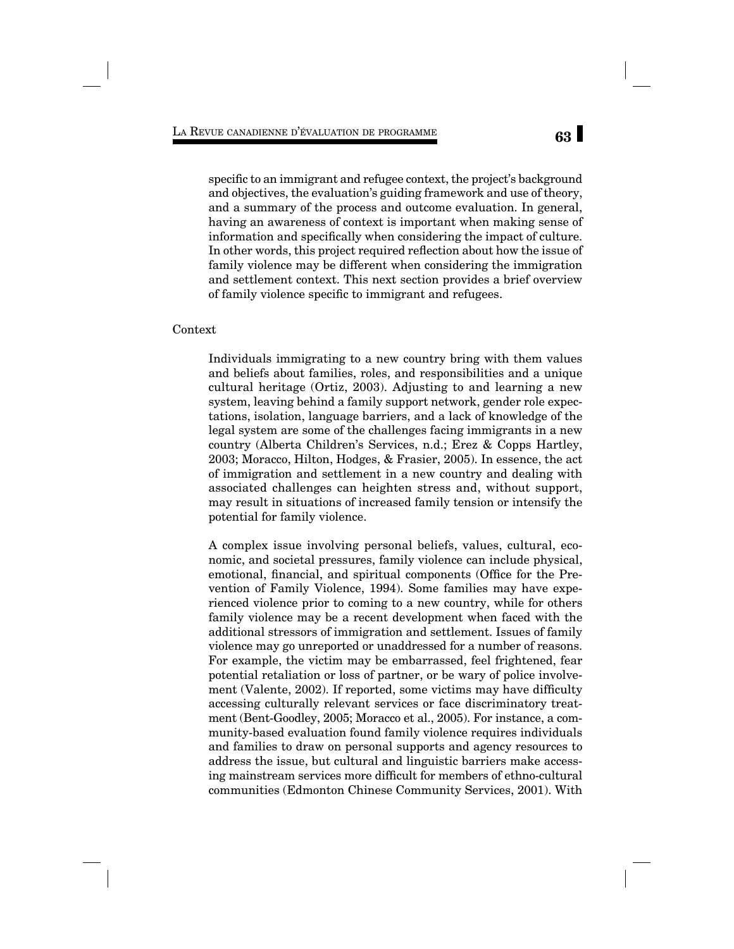specific to an immigrant and refugee context, the project's background and objectives, the evaluation's guiding framework and use of theory, and a summary of the process and outcome evaluation. In general, having an awareness of context is important when making sense of information and specifically when considering the impact of culture. In other words, this project required reflection about how the issue of family violence may be different when considering the immigration and settlement context. This next section provides a brief overview of family violence specific to immigrant and refugees.

# Context

Individuals immigrating to a new country bring with them values and beliefs about families, roles, and responsibilities and a unique cultural heritage (Ortiz, 2003). Adjusting to and learning a new system, leaving behind a family support network, gender role expectations, isolation, language barriers, and a lack of knowledge of the legal system are some of the challenges facing immigrants in a new country (Alberta Children's Services, n.d.; Erez & Copps Hartley, 2003; Moracco, Hilton, Hodges, & Frasier, 2005). In essence, the act of immigration and settlement in a new country and dealing with associated challenges can heighten stress and, without support, may result in situations of increased family tension or intensify the potential for family violence.

A complex issue involving personal beliefs, values, cultural, economic, and societal pressures, family violence can include physical, emotional, financial, and spiritual components (Office for the Prevention of Family Violence, 1994). Some families may have experienced violence prior to coming to a new country, while for others family violence may be a recent development when faced with the additional stressors of immigration and settlement. Issues of family violence may go unreported or unaddressed for a number of reasons. For example, the victim may be embarrassed, feel frightened, fear potential retaliation or loss of partner, or be wary of police involvement (Valente, 2002). If reported, some victims may have difficulty accessing culturally relevant services or face discriminatory treatment (Bent-Goodley, 2005; Moracco et al., 2005). For instance, a community-based evaluation found family violence requires individuals and families to draw on personal supports and agency resources to address the issue, but cultural and linguistic barriers make accessing mainstream services more difficult for members of ethno-cultural communities (Edmonton Chinese Community Services, 2001). With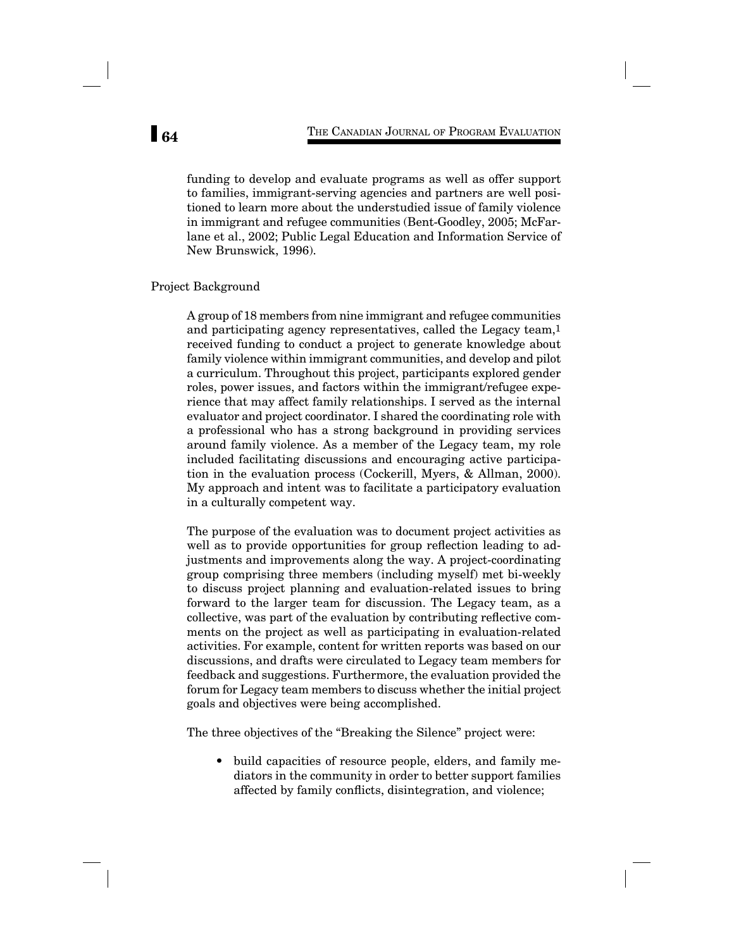funding to develop and evaluate programs as well as offer support to families, immigrant-serving agencies and partners are well positioned to learn more about the understudied issue of family violence in immigrant and refugee communities (Bent-Goodley, 2005; McFarlane et al., 2002; Public Legal Education and Information Service of New Brunswick, 1996).

## Project Background

A group of 18 members from nine immigrant and refugee communities and participating agency representatives, called the Legacy team,1 received funding to conduct a project to generate knowledge about family violence within immigrant communities, and develop and pilot a curriculum. Throughout this project, participants explored gender roles, power issues, and factors within the immigrant/refugee experience that may affect family relationships. I served as the internal evaluator and project coordinator. I shared the coordinating role with a professional who has a strong background in providing services around family violence. As a member of the Legacy team, my role included facilitating discussions and encouraging active participation in the evaluation process (Cockerill, Myers, & Allman, 2000). My approach and intent was to facilitate a participatory evaluation in a culturally competent way.

The purpose of the evaluation was to document project activities as well as to provide opportunities for group reflection leading to adjustments and improvements along the way. A project-coordinating group comprising three members (including myself) met bi-weekly to discuss project planning and evaluation-related issues to bring forward to the larger team for discussion. The Legacy team, as a collective, was part of the evaluation by contributing reflective comments on the project as well as participating in evaluation-related activities. For example, content for written reports was based on our discussions, and drafts were circulated to Legacy team members for feedback and suggestions. Furthermore, the evaluation provided the forum for Legacy team members to discuss whether the initial project goals and objectives were being accomplished.

The three objectives of the "Breaking the Silence" project were:

• build capacities of resource people, elders, and family mediators in the community in order to better support families affected by family conflicts, disintegration, and violence;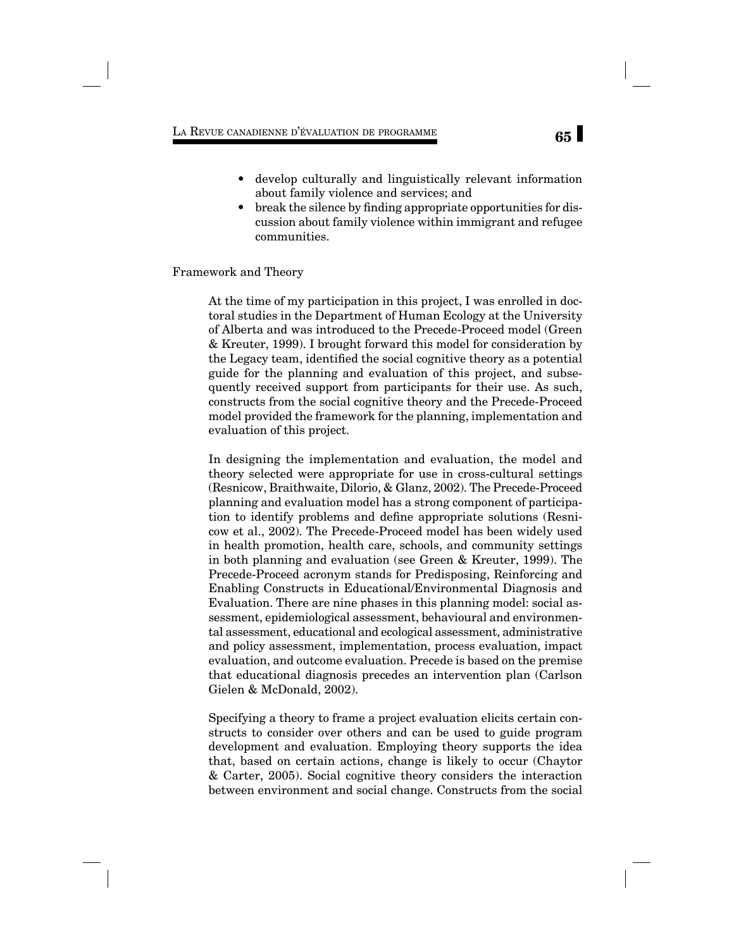# **65** LA REVUE CANADIENNE D'ÉVALUATION DE PROGRAMME

- develop culturally and linguistically relevant information about family violence and services; and
- break the silence by finding appropriate opportunities for discussion about family violence within immigrant and refugee communities.

### Framework and Theory

At the time of my participation in this project, I was enrolled in doctoral studies in the Department of Human Ecology at the University of Alberta and was introduced to the Precede-Proceed model (Green & Kreuter, 1999). I brought forward this model for consideration by the Legacy team, identified the social cognitive theory as a potential guide for the planning and evaluation of this project, and subsequently received support from participants for their use. As such, constructs from the social cognitive theory and the Precede-Proceed model provided the framework for the planning, implementation and evaluation of this project.

In designing the implementation and evaluation, the model and theory selected were appropriate for use in cross-cultural settings (Resnicow, Braithwaite, Dilorio, & Glanz, 2002). The Precede-Proceed planning and evaluation model has a strong component of participation to identify problems and define appropriate solutions (Resnicow et al., 2002). The Precede-Proceed model has been widely used in health promotion, health care, schools, and community settings in both planning and evaluation (see Green & Kreuter, 1999). The Precede-Proceed acronym stands for Predisposing, Reinforcing and Enabling Constructs in Educational/Environmental Diagnosis and Evaluation. There are nine phases in this planning model: social assessment, epidemiological assessment, behavioural and environmental assessment, educational and ecological assessment, administrative and policy assessment, implementation, process evaluation, impact evaluation, and outcome evaluation. Precede is based on the premise that educational diagnosis precedes an intervention plan (Carlson Gielen & McDonald, 2002).

Specifying a theory to frame a project evaluation elicits certain constructs to consider over others and can be used to guide program development and evaluation. Employing theory supports the idea that, based on certain actions, change is likely to occur (Chaytor & Carter, 2005). Social cognitive theory considers the interaction between environment and social change. Constructs from the social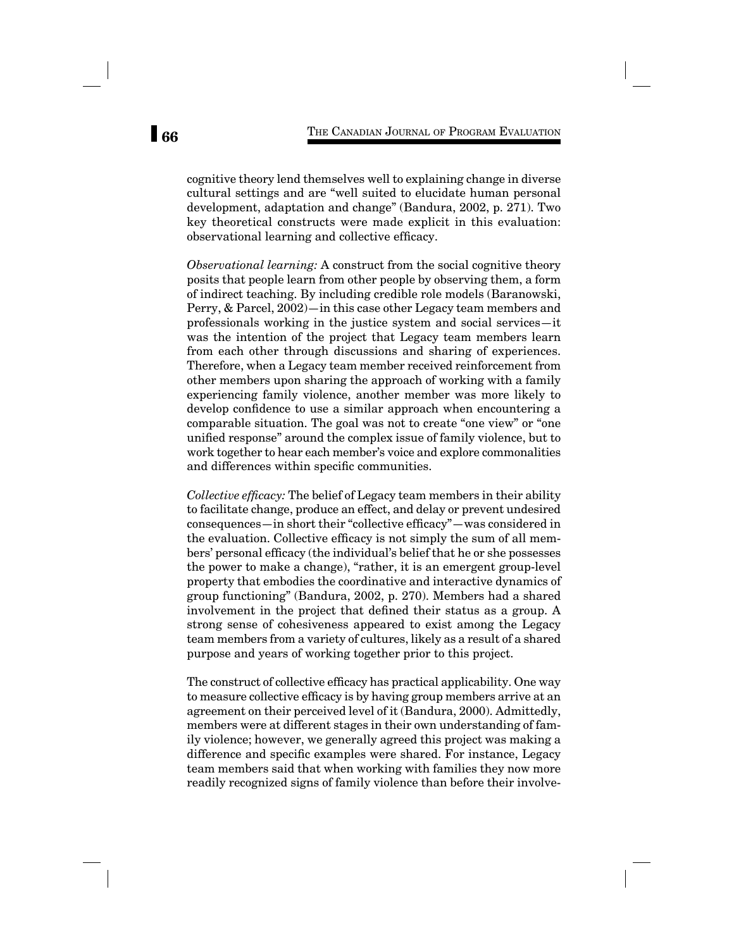cognitive theory lend themselves well to explaining change in diverse cultural settings and are "well suited to elucidate human personal development, adaptation and change" (Bandura, 2002, p. 271). Two key theoretical constructs were made explicit in this evaluation: observational learning and collective efficacy.

*Observational learning:* A construct from the social cognitive theory posits that people learn from other people by observing them, a form of indirect teaching. By including credible role models (Baranowski, Perry, & Parcel, 2002)—in this case other Legacy team members and professionals working in the justice system and social services—it was the intention of the project that Legacy team members learn from each other through discussions and sharing of experiences. Therefore, when a Legacy team member received reinforcement from other members upon sharing the approach of working with a family experiencing family violence, another member was more likely to develop confidence to use a similar approach when encountering a comparable situation. The goal was not to create "one view" or "one unified response" around the complex issue of family violence, but to work together to hear each member's voice and explore commonalities and differences within specific communities.

*Collective efficacy:* The belief of Legacy team members in their ability to facilitate change, produce an effect, and delay or prevent undesired consequences—in short their "collective efficacy"—was considered in the evaluation. Collective efficacy is not simply the sum of all members' personal efficacy (the individual's belief that he or she possesses the power to make a change), "rather, it is an emergent group-level property that embodies the coordinative and interactive dynamics of group functioning" (Bandura, 2002, p. 270). Members had a shared involvement in the project that defined their status as a group. A strong sense of cohesiveness appeared to exist among the Legacy team members from a variety of cultures, likely as a result of a shared purpose and years of working together prior to this project.

The construct of collective efficacy has practical applicability. One way to measure collective efficacy is by having group members arrive at an agreement on their perceived level of it (Bandura, 2000). Admittedly, members were at different stages in their own understanding of family violence; however, we generally agreed this project was making a difference and specific examples were shared. For instance, Legacy team members said that when working with families they now more readily recognized signs of family violence than before their involve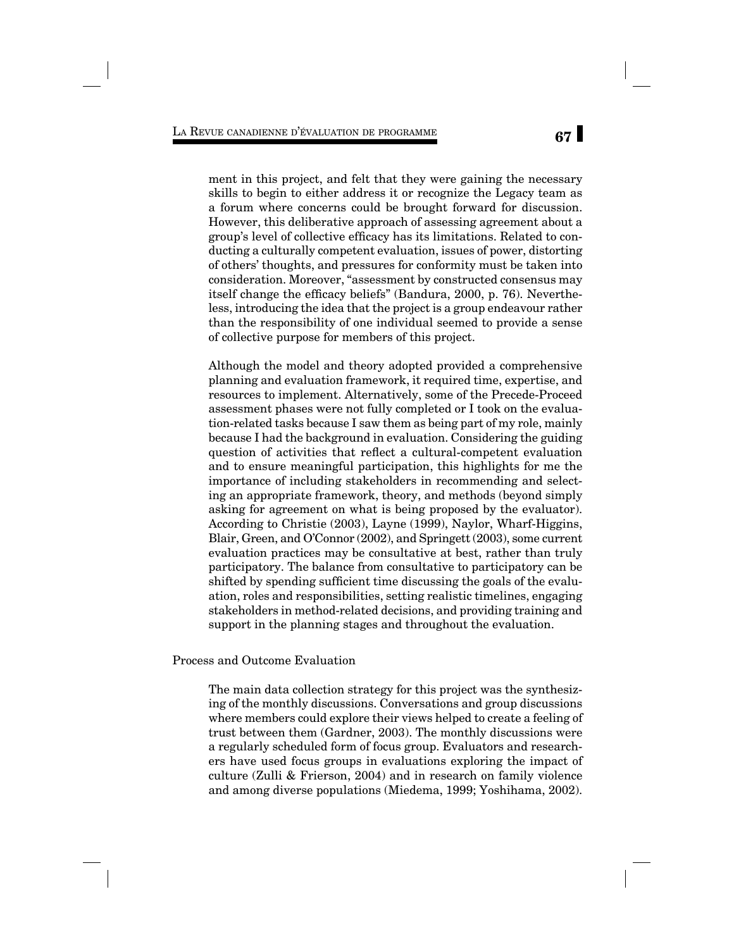ment in this project, and felt that they were gaining the necessary skills to begin to either address it or recognize the Legacy team as a forum where concerns could be brought forward for discussion. However, this deliberative approach of assessing agreement about a group's level of collective efficacy has its limitations. Related to conducting a culturally competent evaluation, issues of power, distorting of others' thoughts, and pressures for conformity must be taken into consideration. Moreover, "assessment by constructed consensus may itself change the efficacy beliefs" (Bandura, 2000, p. 76). Nevertheless, introducing the idea that the project is a group endeavour rather than the responsibility of one individual seemed to provide a sense of collective purpose for members of this project.

Although the model and theory adopted provided a comprehensive planning and evaluation framework, it required time, expertise, and resources to implement. Alternatively, some of the Precede-Proceed assessment phases were not fully completed or I took on the evaluation-related tasks because I saw them as being part of my role, mainly because I had the background in evaluation. Considering the guiding question of activities that reflect a cultural-competent evaluation and to ensure meaningful participation, this highlights for me the importance of including stakeholders in recommending and selecting an appropriate framework, theory, and methods (beyond simply asking for agreement on what is being proposed by the evaluator). According to Christie (2003), Layne (1999), Naylor, Wharf-Higgins, Blair, Green, and O'Connor (2002), and Springett (2003), some current evaluation practices may be consultative at best, rather than truly participatory. The balance from consultative to participatory can be shifted by spending sufficient time discussing the goals of the evaluation, roles and responsibilities, setting realistic timelines, engaging stakeholders in method-related decisions, and providing training and support in the planning stages and throughout the evaluation.

Process and Outcome Evaluation

The main data collection strategy for this project was the synthesizing of the monthly discussions. Conversations and group discussions where members could explore their views helped to create a feeling of trust between them (Gardner, 2003). The monthly discussions were a regularly scheduled form of focus group. Evaluators and researchers have used focus groups in evaluations exploring the impact of culture (Zulli & Frierson, 2004) and in research on family violence and among diverse populations (Miedema, 1999; Yoshihama, 2002).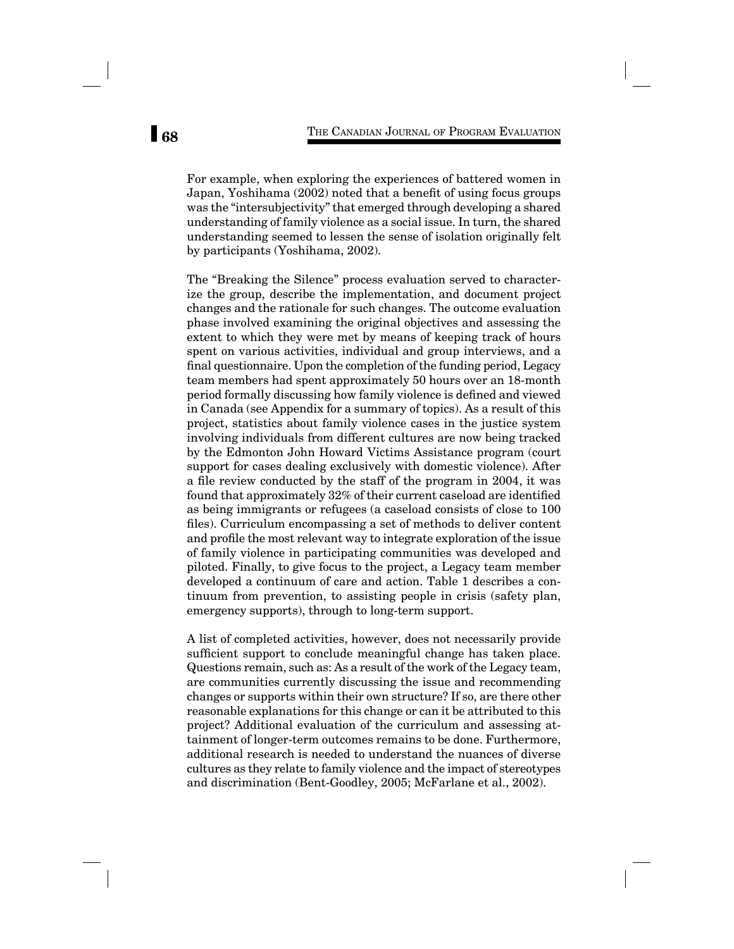For example, when exploring the experiences of battered women in Japan, Yoshihama (2002) noted that a benefit of using focus groups was the "intersubjectivity" that emerged through developing a shared understanding of family violence as a social issue. In turn, the shared understanding seemed to lessen the sense of isolation originally felt by participants (Yoshihama, 2002).

The "Breaking the Silence" process evaluation served to characterize the group, describe the implementation, and document project changes and the rationale for such changes. The outcome evaluation phase involved examining the original objectives and assessing the extent to which they were met by means of keeping track of hours spent on various activities, individual and group interviews, and a final questionnaire. Upon the completion of the funding period, Legacy team members had spent approximately 50 hours over an 18-month period formally discussing how family violence is defined and viewed in Canada (see Appendix for a summary of topics). As a result of this project, statistics about family violence cases in the justice system involving individuals from different cultures are now being tracked by the Edmonton John Howard Victims Assistance program (court support for cases dealing exclusively with domestic violence). After a file review conducted by the staff of the program in 2004, it was found that approximately 32% of their current caseload are identified as being immigrants or refugees (a caseload consists of close to 100 files). Curriculum encompassing a set of methods to deliver content and profile the most relevant way to integrate exploration of the issue of family violence in participating communities was developed and piloted. Finally, to give focus to the project, a Legacy team member developed a continuum of care and action. Table 1 describes a continuum from prevention, to assisting people in crisis (safety plan, emergency supports), through to long-term support.

A list of completed activities, however, does not necessarily provide sufficient support to conclude meaningful change has taken place. Questions remain, such as: As a result of the work of the Legacy team, are communities currently discussing the issue and recommending changes or supports within their own structure? If so, are there other reasonable explanations for this change or can it be attributed to this project? Additional evaluation of the curriculum and assessing attainment of longer-term outcomes remains to be done. Furthermore, additional research is needed to understand the nuances of diverse cultures as they relate to family violence and the impact of stereotypes and discrimination (Bent-Goodley, 2005; McFarlane et al., 2002).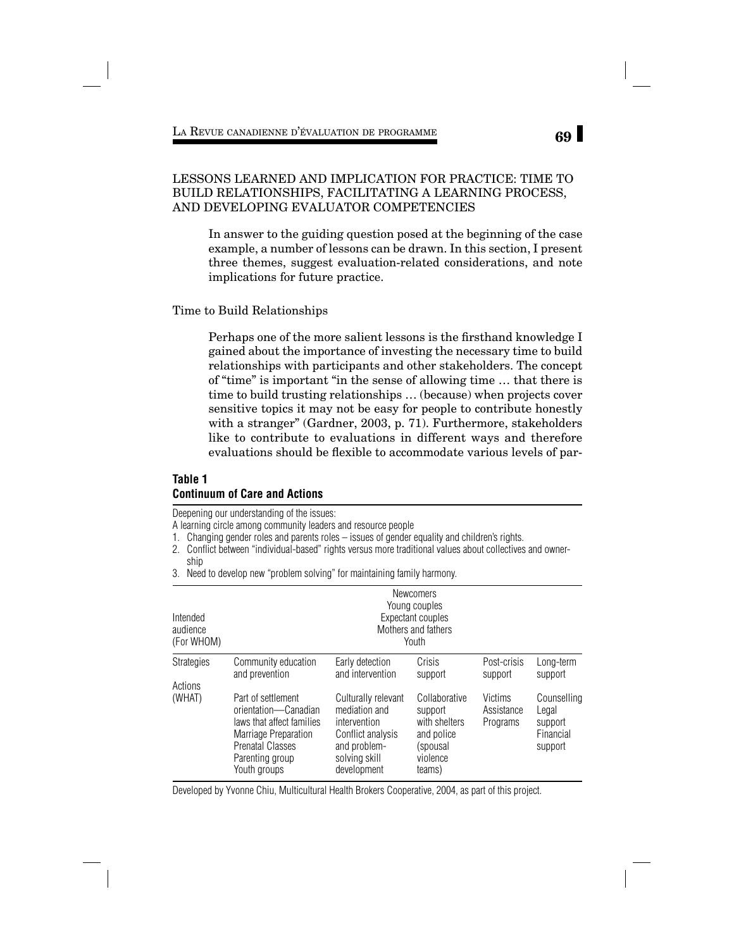# LESSONS LEARNED AND IMPLICATION FOR PRACTICE: TIME TO BUILD RELATIONSHIPS, FACILITATING A LEARNING PROCESS, AND DEVELOPING EVALUATOR COMPETENCIES

In answer to the guiding question posed at the beginning of the case example, a number of lessons can be drawn. In this section, I present three themes, suggest evaluation-related considerations, and note implications for future practice.

Time to Build Relationships

Perhaps one of the more salient lessons is the firsthand knowledge I gained about the importance of investing the necessary time to build relationships with participants and other stakeholders. The concept of "time" is important "in the sense of allowing time … that there is time to build trusting relationships … (because) when projects cover sensitive topics it may not be easy for people to contribute honestly with a stranger" (Gardner, 2003, p. 71). Furthermore, stakeholders like to contribute to evaluations in different ways and therefore evaluations should be flexible to accommodate various levels of par-

# **Table 1 Continuum of Care and Actions**

Deepening our understanding of the issues:

- A learning circle among community leaders and resource people
- 1. Changing gender roles and parents roles issues of gender equality and children's rights.
- 2. Conflict between "individual-based" rights versus more traditional values about collectives and ownership
- 3. Need to develop new "problem solving" for maintaining family harmony.

| Intended<br>audience<br>(For WHOM)<br><b>Strategies</b><br>Actions | <b>Newcomers</b><br>Young couples<br>Expectant couples<br>Mothers and fathers<br>Youth                                                                        |                                                                                                                           |                                                                                           |                                   |                                                         |
|--------------------------------------------------------------------|---------------------------------------------------------------------------------------------------------------------------------------------------------------|---------------------------------------------------------------------------------------------------------------------------|-------------------------------------------------------------------------------------------|-----------------------------------|---------------------------------------------------------|
|                                                                    | Community education<br>and prevention                                                                                                                         | Early detection<br>and intervention                                                                                       | Crisis<br>support                                                                         | Post-crisis<br>support            | Long-term<br>support                                    |
| (WHAT)                                                             | Part of settlement<br>orientation-Canadian<br>laws that affect families<br>Marriage Preparation<br><b>Prenatal Classes</b><br>Parenting group<br>Youth groups | Culturally relevant<br>mediation and<br>intervention<br>Conflict analysis<br>and problem-<br>solving skill<br>development | Collaborative<br>support<br>with shelters<br>and police<br>(spousal<br>violence<br>teams) | Victims<br>Assistance<br>Programs | Counselling<br>Legal<br>support<br>Financial<br>support |

Developed by Yvonne Chiu, Multicultural Health Brokers Cooperative, 2004, as part of this project.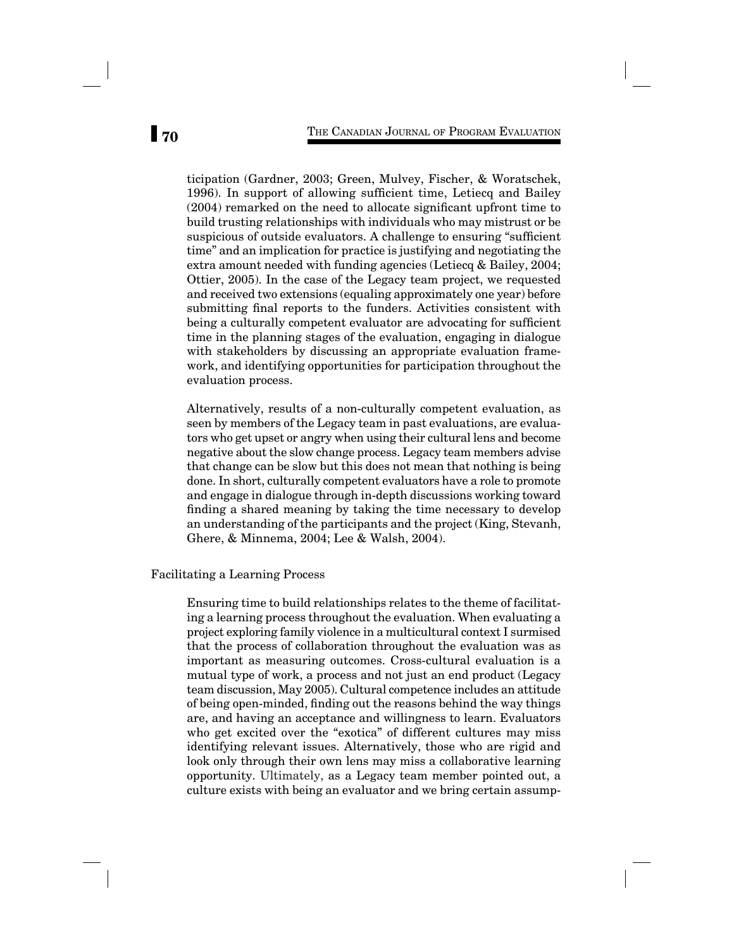ticipation (Gardner, 2003; Green, Mulvey, Fischer, & Woratschek, 1996). In support of allowing sufficient time, Letiecq and Bailey  $(2004)$  remarked on the need to allocate significant upfront time to build trusting relationships with individuals who may mistrust or be suspicious of outside evaluators. A challenge to ensuring "sufficient" time" and an implication for practice is justifying and negotiating the extra amount needed with funding agencies (Letiecq & Bailey, 2004; Ottier, 2005). In the case of the Legacy team project, we requested and received two extensions (equaling approximately one year) before submitting final reports to the funders. Activities consistent with being a culturally competent evaluator are advocating for sufficient time in the planning stages of the evaluation, engaging in dialogue with stakeholders by discussing an appropriate evaluation framework, and identifying opportunities for participation throughout the evaluation process.

Alternatively, results of a non-culturally competent evaluation, as seen by members of the Legacy team in past evaluations, are evaluators who get upset or angry when using their cultural lens and become negative about the slow change process. Legacy team members advise that change can be slow but this does not mean that nothing is being done. In short, culturally competent evaluators have a role to promote and engage in dialogue through in-depth discussions working toward finding a shared meaning by taking the time necessary to develop an understanding of the participants and the project (King, Stevanh, Ghere, & Minnema, 2004; Lee & Walsh, 2004).

Facilitating a Learning Process

Ensuring time to build relationships relates to the theme of facilitating a learning process throughout the evaluation. When evaluating a project exploring family violence in a multicultural context I surmised that the process of collaboration throughout the evaluation was as important as measuring outcomes. Cross-cultural evaluation is a mutual type of work, a process and not just an end product (Legacy team discussion, May 2005). Cultural competence includes an attitude of being open-minded, finding out the reasons behind the way things are, and having an acceptance and willingness to learn. Evaluators who get excited over the "exotica" of different cultures may miss identifying relevant issues. Alternatively, those who are rigid and look only through their own lens may miss a collaborative learning opportunity. Ultimately, as a Legacy team member pointed out, a culture exists with being an evaluator and we bring certain assump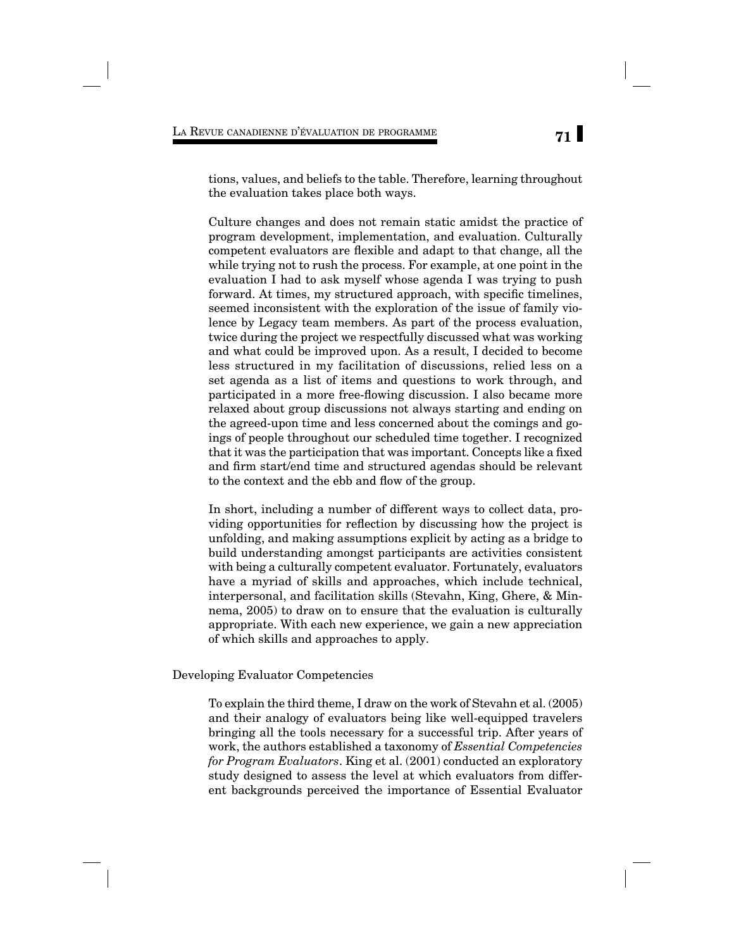tions, values, and beliefs to the table. Therefore, learning throughout the evaluation takes place both ways.

Culture changes and does not remain static amidst the practice of program development, implementation, and evaluation. Culturally competent evaluators are flexible and adapt to that change, all the while trying not to rush the process. For example, at one point in the evaluation I had to ask myself whose agenda I was trying to push forward. At times, my structured approach, with specific timelines, seemed inconsistent with the exploration of the issue of family violence by Legacy team members. As part of the process evaluation, twice during the project we respectfully discussed what was working and what could be improved upon. As a result, I decided to become less structured in my facilitation of discussions, relied less on a set agenda as a list of items and questions to work through, and participated in a more free-flowing discussion. I also became more relaxed about group discussions not always starting and ending on the agreed-upon time and less concerned about the comings and goings of people throughout our scheduled time together. I recognized that it was the participation that was important. Concepts like a fixed and firm start/end time and structured agendas should be relevant to the context and the ebb and flow of the group.

In short, including a number of different ways to collect data, providing opportunities for reflection by discussing how the project is unfolding, and making assumptions explicit by acting as a bridge to build understanding amongst participants are activities consistent with being a culturally competent evaluator. Fortunately, evaluators have a myriad of skills and approaches, which include technical, interpersonal, and facilitation skills (Stevahn, King, Ghere, & Minnema, 2005) to draw on to ensure that the evaluation is culturally appropriate. With each new experience, we gain a new appreciation of which skills and approaches to apply.

#### Developing Evaluator Competencies

To explain the third theme, I draw on the work of Stevahn et al. (2005) and their analogy of evaluators being like well-equipped travelers bringing all the tools necessary for a successful trip. After years of work, the authors established a taxonomy of *Essential Competencies for Program Evaluators*. King et al. (2001) conducted an exploratory study designed to assess the level at which evaluators from different backgrounds perceived the importance of Essential Evaluator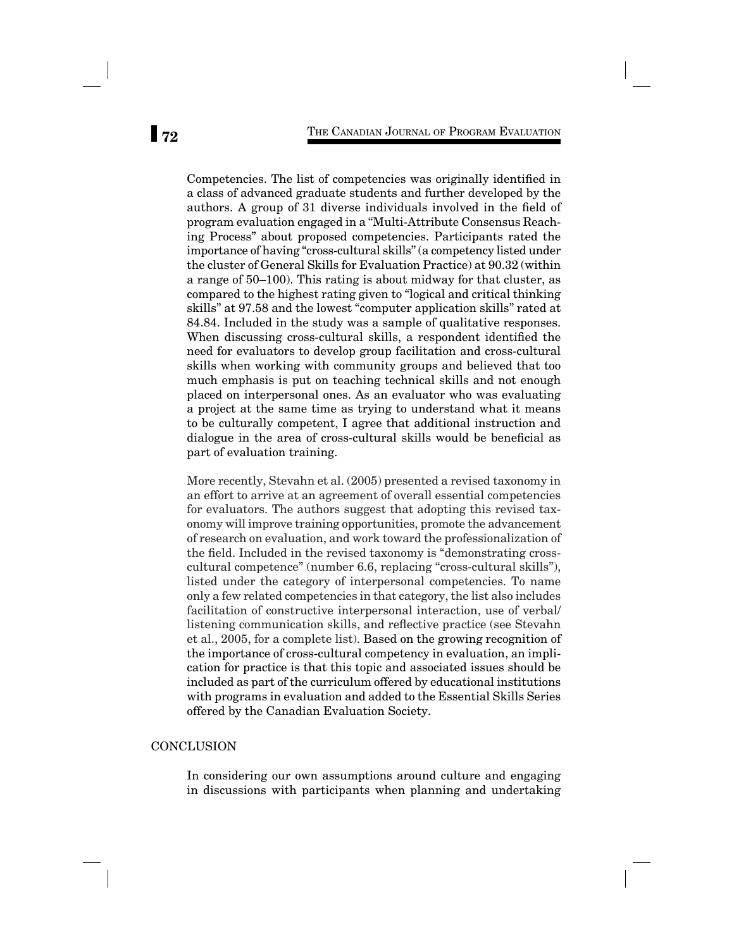Competencies. The list of competencies was originally identified in a class of advanced graduate students and further developed by the authors. A group of 31 diverse individuals involved in the field of program evaluation engaged in a "Multi-Attribute Consensus Reaching Process" about proposed competencies. Participants rated the importance of having "cross-cultural skills" (a competency listed under the cluster of General Skills for Evaluation Practice) at 90.32 (within a range of 50–100). This rating is about midway for that cluster, as compared to the highest rating given to "logical and critical thinking skills" at 97.58 and the lowest "computer application skills" rated at 84.84. Included in the study was a sample of qualitative responses. When discussing cross-cultural skills, a respondent identified the need for evaluators to develop group facilitation and cross-cultural skills when working with community groups and believed that too much emphasis is put on teaching technical skills and not enough placed on interpersonal ones. As an evaluator who was evaluating a project at the same time as trying to understand what it means to be culturally competent, I agree that additional instruction and dialogue in the area of cross-cultural skills would be beneficial as part of evaluation training.

More recently, Stevahn et al. (2005) presented a revised taxonomy in an effort to arrive at an agreement of overall essential competencies for evaluators. The authors suggest that adopting this revised taxonomy will improve training opportunities, promote the advancement of research on evaluation, and work toward the professionalization of the field. Included in the revised taxonomy is "demonstrating crosscultural competence" (number 6.6, replacing "cross-cultural skills"), listed under the category of interpersonal competencies. To name only a few related competencies in that category, the list also includes facilitation of constructive interpersonal interaction, use of verbal/ listening communication skills, and reflective practice (see Stevahn et al., 2005, for a complete list). Based on the growing recognition of the importance of cross-cultural competency in evaluation, an implication for practice is that this topic and associated issues should be included as part of the curriculum offered by educational institutions with programs in evaluation and added to the Essential Skills Series offered by the Canadian Evaluation Society.

# **CONCLUSION**

In considering our own assumptions around culture and engaging in discussions with participants when planning and undertaking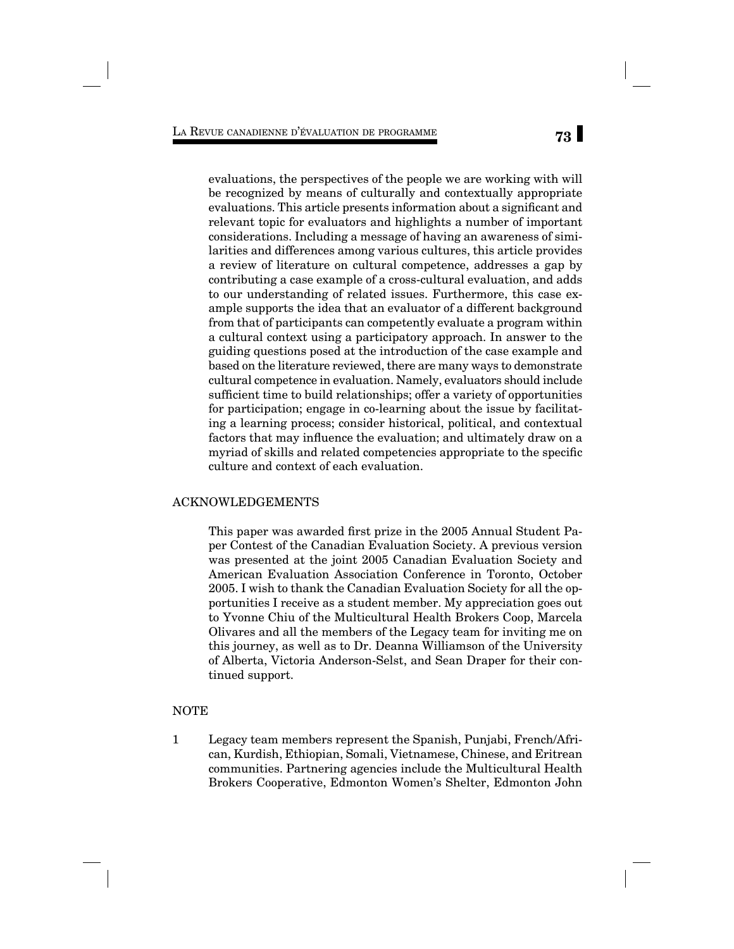evaluations, the perspectives of the people we are working with will be recognized by means of culturally and contextually appropriate evaluations. This article presents information about a significant and relevant topic for evaluators and highlights a number of important considerations. Including a message of having an awareness of similarities and differences among various cultures, this article provides a review of literature on cultural competence, addresses a gap by contributing a case example of a cross-cultural evaluation, and adds to our understanding of related issues. Furthermore, this case example supports the idea that an evaluator of a different background from that of participants can competently evaluate a program within a cultural context using a participatory approach. In answer to the guiding questions posed at the introduction of the case example and based on the literature reviewed, there are many ways to demonstrate cultural competence in evaluation. Namely, evaluators should include sufficient time to build relationships; offer a variety of opportunities for participation; engage in co-learning about the issue by facilitating a learning process; consider historical, political, and contextual factors that may influence the evaluation; and ultimately draw on a myriad of skills and related competencies appropriate to the specific culture and context of each evaluation.

### ACKNOWLEDGEMENTS

This paper was awarded first prize in the 2005 Annual Student Paper Contest of the Canadian Evaluation Society. A previous version was presented at the joint 2005 Canadian Evaluation Society and American Evaluation Association Conference in Toronto, October 2005. I wish to thank the Canadian Evaluation Society for all the opportunities I receive as a student member. My appreciation goes out to Yvonne Chiu of the Multicultural Health Brokers Coop, Marcela Olivares and all the members of the Legacy team for inviting me on this journey, as well as to Dr. Deanna Williamson of the University of Alberta, Victoria Anderson-Selst, and Sean Draper for their continued support.

# NOTE

1 Legacy team members represent the Spanish, Punjabi, French/African, Kurdish, Ethiopian, Somali, Vietnamese, Chinese, and Eritrean communities. Partnering agencies include the Multicultural Health Brokers Cooperative, Edmonton Women's Shelter, Edmonton John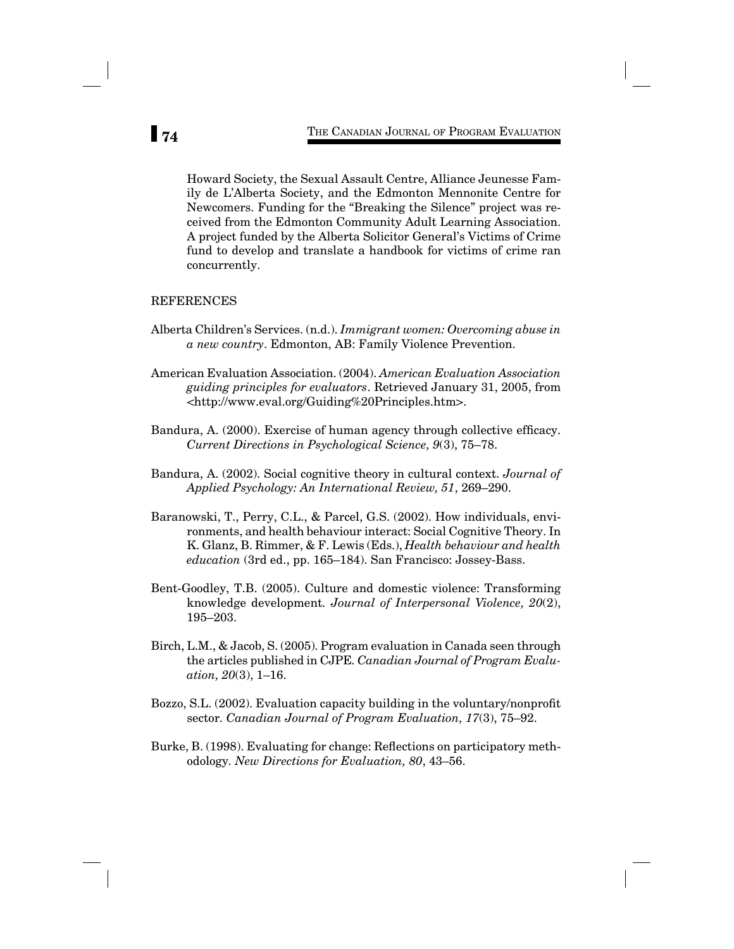Howard Society, the Sexual Assault Centre, Alliance Jeunesse Family de L'Alberta Society, and the Edmonton Mennonite Centre for Newcomers. Funding for the "Breaking the Silence" project was received from the Edmonton Community Adult Learning Association. A project funded by the Alberta Solicitor General's Victims of Crime fund to develop and translate a handbook for victims of crime ran concurrently.

### REFERENCES

- Alberta Children's Services. (n.d.). *Immigrant women: Overcoming abuse in a new country*. Edmonton, AB: Family Violence Prevention.
- American Evaluation Association. (2004). *American Evaluation Association guiding principles for evaluators*. Retrieved January 31, 2005, from <http://www.eval.org/Guiding%20Principles.htm>.
- Bandura, A. (2000). Exercise of human agency through collective efficacy. *Current Directions in Psychological Science, 9*(3), 75–78.
- Bandura, A. (2002). Social cognitive theory in cultural context. *Journal of Applied Psychology: An International Review, 51*, 269–290.
- Baranowski, T., Perry, C.L., & Parcel, G.S. (2002). How individuals, environments, and health behaviour interact: Social Cognitive Theory. In K. Glanz, B. Rimmer, & F. Lewis (Eds.), *Health behaviour and health education* (3rd ed., pp. 165–184). San Francisco: Jossey-Bass.
- Bent-Goodley, T.B. (2005). Culture and domestic violence: Transforming knowledge development*. Journal of Interpersonal Violence, 20*(2), 195–203.
- Birch, L.M., & Jacob, S. (2005). Program evaluation in Canada seen through the articles published in CJPE*. Canadian Journal of Program Evaluation, 20*(3), 1–16.
- Bozzo, S.L. (2002). Evaluation capacity building in the voluntary/nonprofit sector*. Canadian Journal of Program Evaluation, 17*(3), 75–92.
- Burke, B. (1998). Evaluating for change: Reflections on participatory methodology*. New Directions for Evaluation, 80*, 43–56.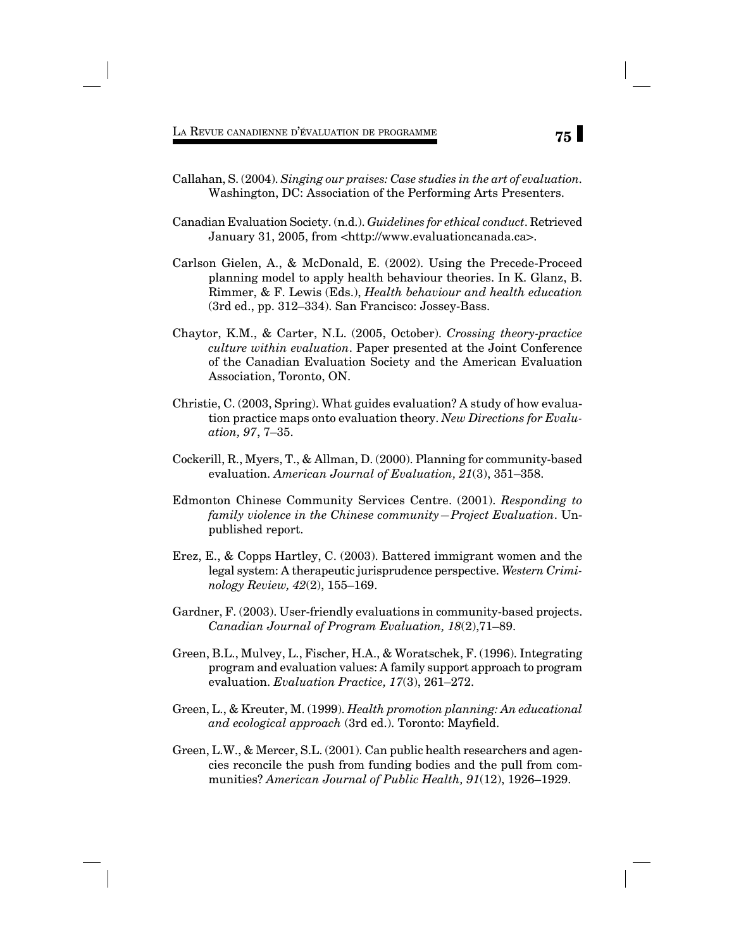- Callahan, S. (2004). *Singing our praises: Case studies in the art of evaluation.*  Washington, DC: Association of the Performing Arts Presenters.
- Canadian Evaluation Society. (n.d.). *Guidelines for ethical conduct*. Retrieved January 31, 2005, from <http://www.evaluationcanada.ca>.
- Carlson Gielen, A., & McDonald, E. (2002). Using the Precede-Proceed planning model to apply health behaviour theories. In K. Glanz, B. Rimmer, & F. Lewis (Eds.), *Health behaviour and health education* (3rd ed., pp. 312–334). San Francisco: Jossey-Bass.
- Chaytor, K.M., & Carter, N.L. (2005, October). *Crossing theory-practice culture within evaluation*. Paper presented at the Joint Conference of the Canadian Evaluation Society and the American Evaluation Association, Toronto, ON.
- Christie, C. (2003, Spring). What guides evaluation? A study of how evaluation practice maps onto evaluation theory. *New Directions for Evaluation, 97*, 7–35.
- Cockerill, R., Myers, T., & Allman, D. (2000). Planning for community-based evaluation. *American Journal of Evaluation, 21*(3), 351–358.
- Edmonton Chinese Community Services Centre. (2001). *Responding to family violence in the Chinese community—Project Evaluation*. Unpublished report.
- Erez, E., & Copps Hartley, C. (2003). Battered immigrant women and the legal system: A therapeutic jurisprudence perspective. *Western Criminology Review, 42*(2), 155–169.
- Gardner, F. (2003). User-friendly evaluations in community-based projects. *Canadian Journal of Program Evaluation, 18*(2),71–89.
- Green, B.L., Mulvey, L., Fischer, H.A., & Woratschek, F. (1996). Integrating program and evaluation values: A family support approach to program evaluation. *Evaluation Practice, 17*(3), 261–272.
- Green, L., & Kreuter, M. (1999). *Health promotion planning: An educational*  and ecological approach (3rd ed.). Toronto: Mayfield.
- Green, L.W., & Mercer, S.L. (2001). Can public health researchers and agencies reconcile the push from funding bodies and the pull from communities? *American Journal of Public Health, 91*(12), 1926–1929.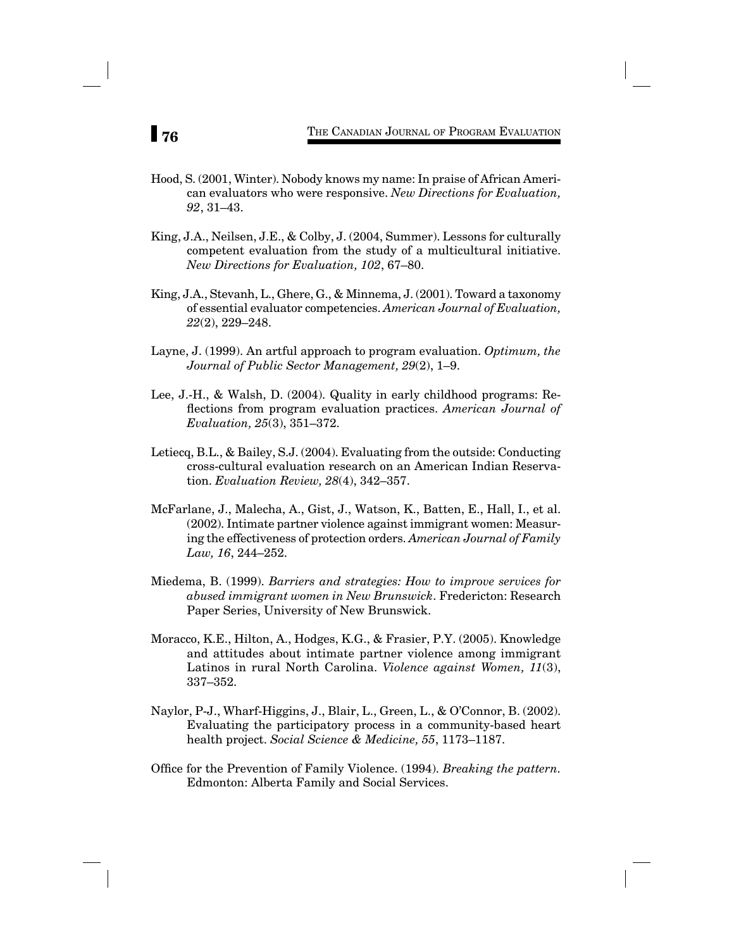- Hood, S. (2001, Winter). Nobody knows my name: In praise of African American evaluators who were responsive. *New Directions for Evaluation, 92*, 31–43.
- King, J.A., Neilsen, J.E., & Colby, J. (2004, Summer). Lessons for culturally competent evaluation from the study of a multicultural initiative. *New Directions for Evaluation, 102*, 67–80.
- King, J.A., Stevanh, L., Ghere, G., & Minnema, J. (2001). Toward a taxonomy of essential evaluator competencies. *American Journal of Evaluation, 22*(2), 229–248.
- Layne, J. (1999). An artful approach to program evaluation. *Optimum, the Journal of Public Sector Management, 29*(2), 1–9.
- Lee, J.-H., & Walsh, D. (2004). Quality in early childhood programs: Reflections from program evaluation practices. American Journal of *Evaluation, 25*(3), 351–372.
- Letiecq, B.L., & Bailey, S.J. (2004). Evaluating from the outside: Conducting cross-cultural evaluation research on an American Indian Reservation. *Evaluation Review, 28*(4), 342–357.
- McFarlane, J., Malecha, A., Gist, J., Watson, K., Batten, E., Hall, I., et al. (2002). Intimate partner violence against immigrant women: Measuring the effectiveness of protection orders. *American Journal of Family Law, 16*, 244–252.
- Miedema, B. (1999). *Barriers and strategies: How to improve services for abused immigrant women in New Brunswick*. Fredericton: Research Paper Series, University of New Brunswick.
- Moracco, K.E., Hilton, A., Hodges, K.G., & Frasier, P.Y. (2005). Knowledge and attitudes about intimate partner violence among immigrant Latinos in rural North Carolina. *Violence against Women, 11*(3), 337–352.
- Naylor, P-J., Wharf-Higgins, J., Blair, L., Green, L., & O'Connor, B. (2002). Evaluating the participatory process in a community-based heart health project. *Social Science & Medicine, 55*, 1173–1187.
- Office for the Prevention of Family Violence. (1994). *Breaking the pattern*. Edmonton: Alberta Family and Social Services.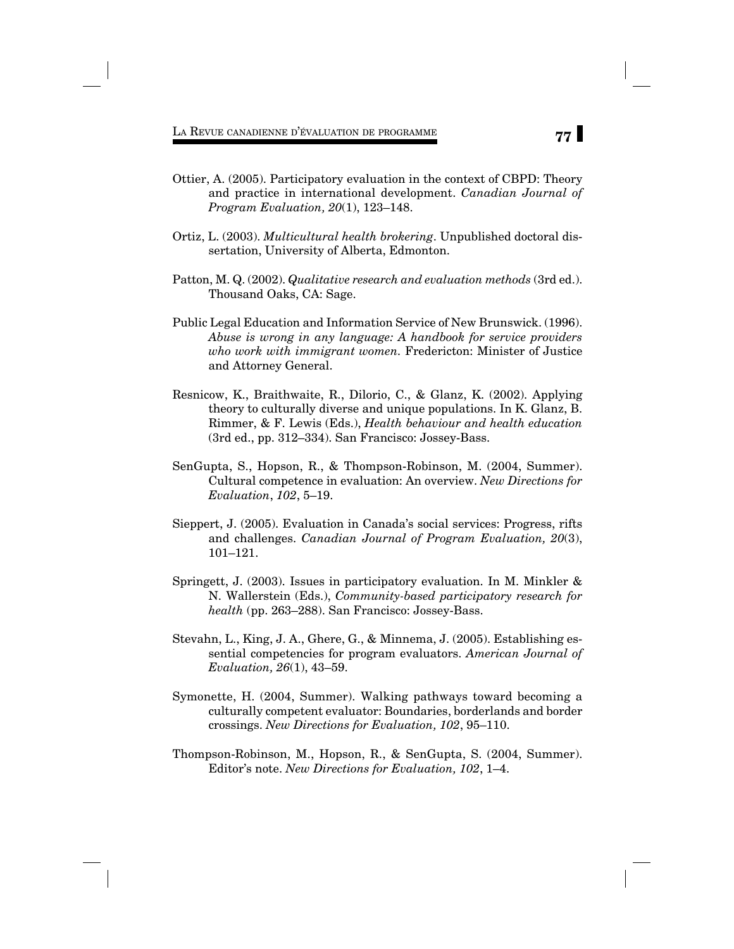**77** LA REVUE CANADIENNE D'ÉVALUATION DE PROGRAMME

- Ottier, A. (2005). Participatory evaluation in the context of CBPD: Theory and practice in international development. *Canadian Journal of Program Evaluation, 20*(1), 123–148.
- Ortiz, L. (2003). *Multicultural health brokering*. Unpublished doctoral dissertation, University of Alberta, Edmonton.
- Patton, M. Q. (2002). *Qualitative research and evaluation methods* (3rd ed.). Thousand Oaks, CA: Sage.
- Public Legal Education and Information Service of New Brunswick. (1996). *Abuse is wrong in any language: A handbook for service providers who work with immigrant women.* Fredericton: Minister of Justice and Attorney General.
- Resnicow, K., Braithwaite, R., Dilorio, C., & Glanz, K. (2002). Applying theory to culturally diverse and unique populations. In K. Glanz, B. Rimmer, & F. Lewis (Eds.), *Health behaviour and health education* (3rd ed., pp. 312–334). San Francisco: Jossey-Bass.
- SenGupta, S., Hopson, R., & Thompson-Robinson, M. (2004, Summer). Cultural competence in evaluation: An overview. *New Directions for Evaluation*, *102*, 5–19.
- Sieppert, J. (2005). Evaluation in Canada's social services: Progress, rifts and challenges. *Canadian Journal of Program Evaluation, 20*(3), 101–121.
- Springett, J. (2003). Issues in participatory evaluation. In M. Minkler & N. Wallerstein (Eds.), *Community-based participatory research for health* (pp. 263–288). San Francisco: Jossey-Bass.
- Stevahn, L., King, J. A., Ghere, G., & Minnema, J. (2005). Establishing essential competencies for program evaluators. *American Journal of Evaluation, 26*(1), 43–59.
- Symonette, H. (2004, Summer). Walking pathways toward becoming a culturally competent evaluator: Boundaries, borderlands and border crossings. *New Directions for Evaluation, 102*, 95–110.
- Thompson-Robinson, M., Hopson, R., & SenGupta, S. (2004, Summer). Editor's note. *New Directions for Evaluation, 102*, 1–4.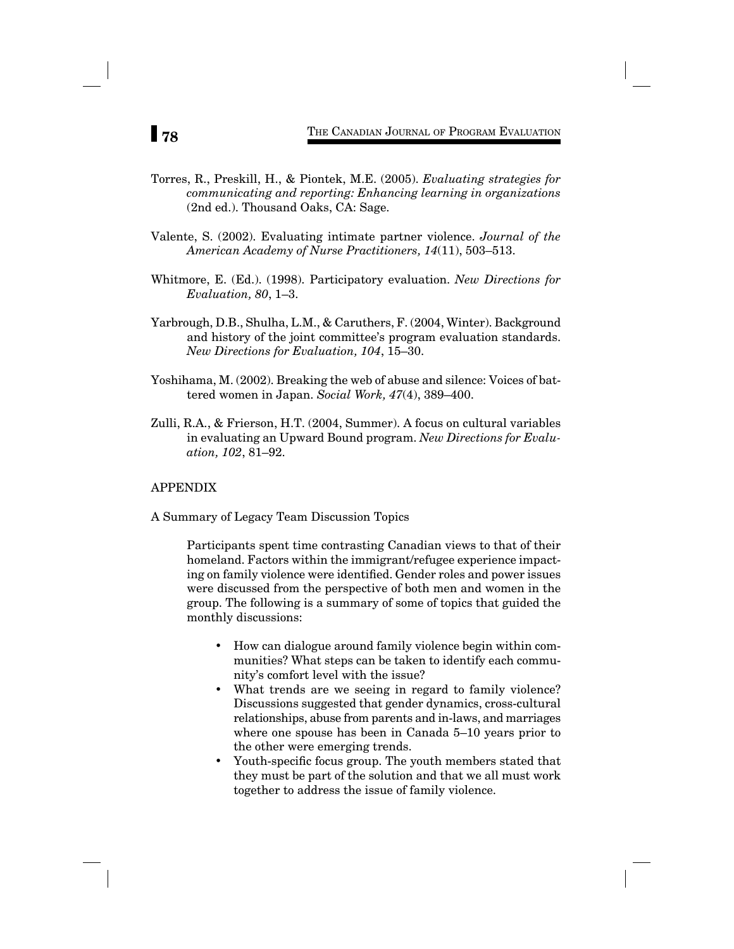- Torres, R., Preskill, H., & Piontek, M.E. (2005). *Evaluating strategies for communicating and reporting: Enhancing learning in organizations* (2nd ed.). Thousand Oaks, CA: Sage.
- Valente, S. (2002). Evaluating intimate partner violence. *Journal of the American Academy of Nurse Practitioners, 14*(11), 503–513.
- Whitmore, E. (Ed.). (1998). Participatory evaluation. *New Directions for Evaluation, 80*, 1–3.
- Yarbrough, D.B., Shulha, L.M., & Caruthers, F. (2004, Winter). Background and history of the joint committee's program evaluation standards. *New Directions for Evaluation, 104*, 15–30.
- Yoshihama, M. (2002). Breaking the web of abuse and silence: Voices of battered women in Japan. *Social Work, 47*(4), 389–400.
- Zulli, R.A., & Frierson, H.T. (2004, Summer). A focus on cultural variables in evaluating an Upward Bound program. *New Directions for Evaluation, 102*, 81–92.

## APPENDIX

A Summary of Legacy Team Discussion Topics

Participants spent time contrasting Canadian views to that of their homeland. Factors within the immigrant/refugee experience impacting on family violence were identified. Gender roles and power issues were discussed from the perspective of both men and women in the group. The following is a summary of some of topics that guided the monthly discussions:

- How can dialogue around family violence begin within communities? What steps can be taken to identify each community's comfort level with the issue?
- What trends are we seeing in regard to family violence? Discussions suggested that gender dynamics, cross-cultural relationships, abuse from parents and in-laws, and marriages where one spouse has been in Canada 5–10 years prior to the other were emerging trends.
- Youth-specific focus group. The youth members stated that they must be part of the solution and that we all must work together to address the issue of family violence.